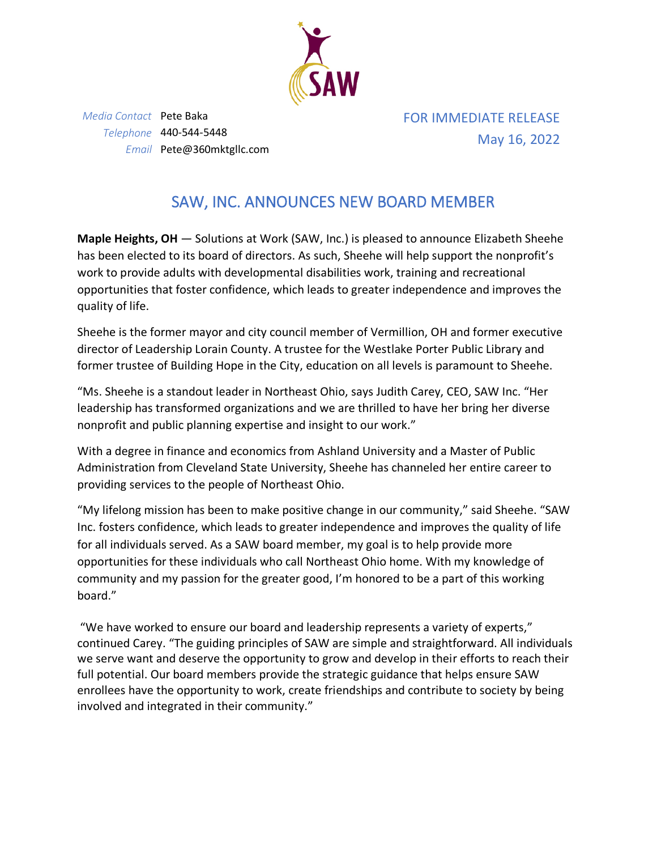

*Media Contact* Pete Baka *Telephone* 440-544-5448 *Email* Pete@360mktgllc.com FOR IMMEDIATE RELEASE May 16, 2022

## SAW, INC. ANNOUNCES NEW BOARD MEMBER

**Maple Heights, OH** — Solutions at Work (SAW, Inc.) is pleased to announce Elizabeth Sheehe has been elected to its board of directors. As such, Sheehe will help support the nonprofit's work to provide adults with developmental disabilities work, training and recreational opportunities that foster confidence, which leads to greater independence and improves the quality of life.

Sheehe is the former mayor and city council member of Vermillion, OH and former executive director of Leadership Lorain County. A trustee for the Westlake Porter Public Library and former trustee of Building Hope in the City, education on all levels is paramount to Sheehe.

"Ms. Sheehe is a standout leader in Northeast Ohio, says Judith Carey, CEO, SAW Inc. "Her leadership has transformed organizations and we are thrilled to have her bring her diverse nonprofit and public planning expertise and insight to our work."

With a degree in finance and economics from Ashland University and a Master of Public Administration from Cleveland State University, Sheehe has channeled her entire career to providing services to the people of Northeast Ohio.

"My lifelong mission has been to make positive change in our community," said Sheehe. "SAW Inc. fosters confidence, which leads to greater independence and improves the quality of life for all individuals served. As a SAW board member, my goal is to help provide more opportunities for these individuals who call Northeast Ohio home. With my knowledge of community and my passion for the greater good, I'm honored to be a part of this working board."

"We have worked to ensure our board and leadership represents a variety of experts," continued Carey. "The guiding principles of SAW are simple and straightforward. All individuals we serve want and deserve the opportunity to grow and develop in their efforts to reach their full potential. Our board members provide the strategic guidance that helps ensure SAW enrollees have the opportunity to work, create friendships and contribute to society by being involved and integrated in their community."